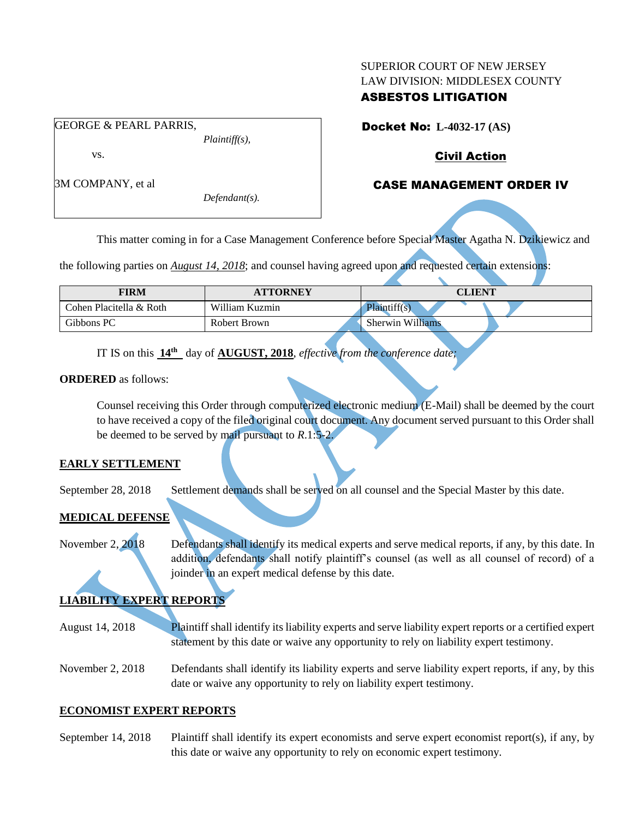#### SUPERIOR COURT OF NEW JERSEY LAW DIVISION: MIDDLESEX COUNTY

#### ASBESTOS LITIGATION

Docket No: **L-4032-17 (AS)** 

Civil Action

# CASE MANAGEMENT ORDER IV

*Plaintiff(s),* vs.

GEORGE & PEARL PARRIS,

3M COMPANY, et al

*Defendant(s).*

This matter coming in for a Case Management Conference before Special Master Agatha N. Dzikiewicz and

the following parties on *August 14, 2018*; and counsel having agreed upon and requested certain extensions:

| <b>FIRM</b>             | <b>ATTORNEY</b> | <b>CLIENT</b>           |
|-------------------------|-----------------|-------------------------|
| Cohen Placitella & Roth | William Kuzmin  | Plaintiff(s)            |
| Gibbons PC              | Robert Brown    | <b>Sherwin Williams</b> |

IT IS on this **14th** day of **AUGUST, 2018**, *effective from the conference date;*

#### **ORDERED** as follows:

Counsel receiving this Order through computerized electronic medium (E-Mail) shall be deemed by the court to have received a copy of the filed original court document. Any document served pursuant to this Order shall be deemed to be served by mail pursuant to *R*.1:5-2.

## **EARLY SETTLEMENT**

September 28, 2018 Settlement demands shall be served on all counsel and the Special Master by this date.

## **MEDICAL DEFENSE**

November 2, 2018 Defendants shall identify its medical experts and serve medical reports, if any, by this date. In addition, defendants shall notify plaintiff's counsel (as well as all counsel of record) of a joinder in an expert medical defense by this date.

# **LIABILITY EXPERT REPORTS**

- August 14, 2018 Plaintiff shall identify its liability experts and serve liability expert reports or a certified expert statement by this date or waive any opportunity to rely on liability expert testimony.
- November 2, 2018 Defendants shall identify its liability experts and serve liability expert reports, if any, by this date or waive any opportunity to rely on liability expert testimony.

## **ECONOMIST EXPERT REPORTS**

September 14, 2018 Plaintiff shall identify its expert economists and serve expert economist report(s), if any, by this date or waive any opportunity to rely on economic expert testimony.